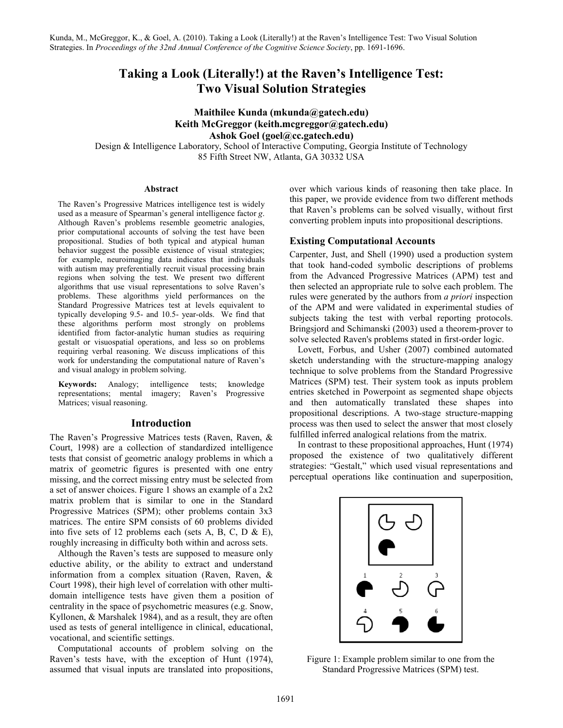# Taking a Look (Literally!) at the Raven's Intelligence Test: Two Visual Solution Strategies

# Maithilee Kunda (mkunda@gatech.edu) Keith McGreggor (keith.mcgreggor@gatech.edu) Ashok Goel (goel@cc.gatech.edu)

Design & Intelligence Laboratory, School of Interactive Computing, Georgia Institute of Technology 85 Fifth Street NW, Atlanta, GA 30332 USA

#### Abstract

The Raven's Progressive Matrices intelligence test is widely used as a measure of Spearman's general intelligence factor g. Although Raven's problems resemble geometric analogies, prior computational accounts of solving the test have been propositional. Studies of both typical and atypical human behavior suggest the possible existence of visual strategies; for example, neuroimaging data indicates that individuals with autism may preferentially recruit visual processing brain regions when solving the test. We present two different algorithms that use visual representations to solve Raven's problems. These algorithms yield performances on the Standard Progressive Matrices test at levels equivalent to typically developing 9.5- and 10.5- year-olds. We find that these algorithms perform most strongly on problems identified from factor-analytic human studies as requiring gestalt or visuospatial operations, and less so on problems requiring verbal reasoning. We discuss implications of this work for understanding the computational nature of Raven's and visual analogy in problem solving.

Keywords: Analogy; intelligence tests; knowledge representations; mental imagery; Raven's Progressive Matrices; visual reasoning.

#### Introduction

The Raven's Progressive Matrices tests (Raven, Raven, & Court, 1998) are a collection of standardized intelligence tests that consist of geometric analogy problems in which a matrix of geometric figures is presented with one entry missing, and the correct missing entry must be selected from a set of answer choices. Figure 1 shows an example of a 2x2 matrix problem that is similar to one in the Standard Progressive Matrices (SPM); other problems contain 3x3 matrices. The entire SPM consists of 60 problems divided into five sets of 12 problems each (sets A, B, C, D  $\&$  E), roughly increasing in difficulty both within and across sets.

Although the Raven's tests are supposed to measure only eductive ability, or the ability to extract and understand information from a complex situation (Raven, Raven, & Court 1998), their high level of correlation with other multidomain intelligence tests have given them a position of centrality in the space of psychometric measures (e.g. Snow, Kyllonen, & Marshalek 1984), and as a result, they are often used as tests of general intelligence in clinical, educational, vocational, and scientific settings.

Computational accounts of problem solving on the Raven's tests have, with the exception of Hunt (1974), assumed that visual inputs are translated into propositions, over which various kinds of reasoning then take place. In this paper, we provide evidence from two different methods that Raven's problems can be solved visually, without first converting problem inputs into propositional descriptions.

# Existing Computational Accounts

Carpenter, Just, and Shell (1990) used a production system that took hand-coded symbolic descriptions of problems from the Advanced Progressive Matrices (APM) test and then selected an appropriate rule to solve each problem. The rules were generated by the authors from a priori inspection of the APM and were validated in experimental studies of subjects taking the test with verbal reporting protocols. Bringsjord and Schimanski (2003) used a theorem-prover to solve selected Raven's problems stated in first-order logic.

Lovett, Forbus, and Usher (2007) combined automated sketch understanding with the structure-mapping analogy technique to solve problems from the Standard Progressive Matrices (SPM) test. Their system took as inputs problem entries sketched in Powerpoint as segmented shape objects and then automatically translated these shapes into propositional descriptions. A two-stage structure-mapping process was then used to select the answer that most closely fulfilled inferred analogical relations from the matrix.

In contrast to these propositional approaches, Hunt (1974) proposed the existence of two qualitatively different strategies: "Gestalt," which used visual representations and perceptual operations like continuation and superposition,



Figure 1: Example problem similar to one from the Standard Progressive Matrices (SPM) test.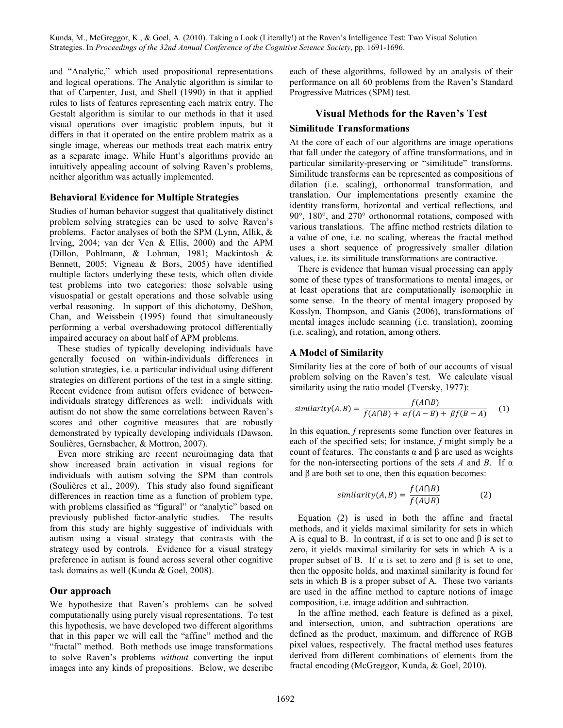and "Analytic," which used propositional representations and logical operations. The Analytic algorithm is similar to that of Carpenter, Just, and Shell (1990) in that it applied rules to lists of features representing each matrix entry. The Gestalt algorithm is similar to our methods in that it used visual operations over imagistic problem inputs, but it differs in that it operated on the entire problem matrix as a single image, whereas our methods treat each matrix entry as a separate image. While Hunt's algorithms provide an intuitively appealing account of solving Raven's problems, neither algorithm was actually implemented.

#### Behavioral Evidence for Multiple Strategies

Studies of human behavior suggest that qualitatively distinct problem solving strategies can be used to solve Raven's problems. Factor analyses of both the SPM (Lynn, Allik, & Irving, 2004; van der Ven & Ellis, 2000) and the APM (Dillon, Pohlmann, & Lohman, 1981; Mackintosh & Bennett, 2005; Vigneau & Bors, 2005) have identified multiple factors underlying these tests, which often divide test problems into two categories: those solvable using visuospatial or gestalt operations and those solvable using verbal reasoning. In support of this dichotomy, DeShon, Chan, and Weissbein (1995) found that simultaneously performing a verbal overshadowing protocol differentially impaired accuracy on about half of APM problems.

These studies of typically developing individuals have generally focused on within-individuals differences in solution strategies, i.e. a particular individual using different strategies on different portions of the test in a single sitting. Recent evidence from autism offers evidence of betweenindividuals strategy differences as well: individuals with autism do not show the same correlations between Raven's scores and other cognitive measures that are robustly demonstrated by typically developing individuals (Dawson, Soulières, Gernsbacher, & Mottron, 2007).

Even more striking are recent neuroimaging data that show increased brain activation in visual regions for individuals with autism solving the SPM than controls (Soulières et al., 2009). This study also found significant differences in reaction time as a function of problem type, with problems classified as "figural" or "analytic" based on previously published factor-analytic studies. The results from this study are highly suggestive of individuals with autism using a visual strategy that contrasts with the strategy used by controls. Evidence for a visual strategy preference in autism is found across several other cognitive task domains as well (Kunda & Goel, 2008).

# Our approach

We hypothesize that Raven's problems can be solved computationally using purely visual representations. To test this hypothesis, we have developed two different algorithms that in this paper we will call the "affine" method and the "fractal" method. Both methods use image transformations to solve Raven's problems without converting the input images into any kinds of propositions. Below, we describe each of these algorithms, followed by an analysis of their performance on all 60 problems from the Raven's Standard Progressive Matrices (SPM) test.

# Visual Methods for the Raven's Test

#### Similitude Transformations

At the core of each of our algorithms are image operations that fall under the category of affine transformations, and in particular similarity-preserving or "similitude" transforms. Similitude transforms can be represented as compositions of dilation (i.e. scaling), orthonormal transformation, and translation. Our implementations presently examine the identity transform, horizontal and vertical reflections, and 90°, 180°, and 270° orthonormal rotations, composed with various translations. The affine method restricts dilation to a value of one, i.e. no scaling, whereas the fractal method uses a short sequence of progressively smaller dilation values, i.e. its similitude transformations are contractive.

There is evidence that human visual processing can apply some of these types of transformations to mental images, or at least operations that are computationally isomorphic in some sense. In the theory of mental imagery proposed by Kosslyn, Thompson, and Ganis (2006), transformations of mental images include scanning (i.e. translation), zooming (i.e. scaling), and rotation, among others.

#### A Model of Similarity

Similarity lies at the core of both of our accounts of visual problem solving on the Raven's test. We calculate visual similarity using the ratio model (Tversky, 1977):

$$
similarity(A, B) = \frac{f(A \cap B)}{f(A \cap B) + \alpha f(A - B) + \beta f(B - A)}
$$
 (1)

In this equation, f represents some function over features in each of the specified sets; for instance, f might simply be a count of features. The constants α and β are used as weights for the non-intersecting portions of the sets A and B. If  $\alpha$ and  $\beta$  are both set to one, then this equation becomes:

$$
similarity(A, B) = \frac{f(A \cap B)}{f(A \cup B)}
$$
 (2)

Equation (2) is used in both the affine and fractal methods, and it yields maximal similarity for sets in which A is equal to B. In contrast, if  $\alpha$  is set to one and  $\beta$  is set to zero, it yields maximal similarity for sets in which A is a proper subset of B. If  $\alpha$  is set to zero and  $\beta$  is set to one, then the opposite holds, and maximal similarity is found for sets in which B is a proper subset of A. These two variants are used in the affine method to capture notions of image composition, i.e. image addition and subtraction.

In the affine method, each feature is defined as a pixel, and intersection, union, and subtraction operations are defined as the product, maximum, and difference of RGB pixel values, respectively. The fractal method uses features derived from different combinations of elements from the fractal encoding (McGreggor, Kunda, & Goel, 2010).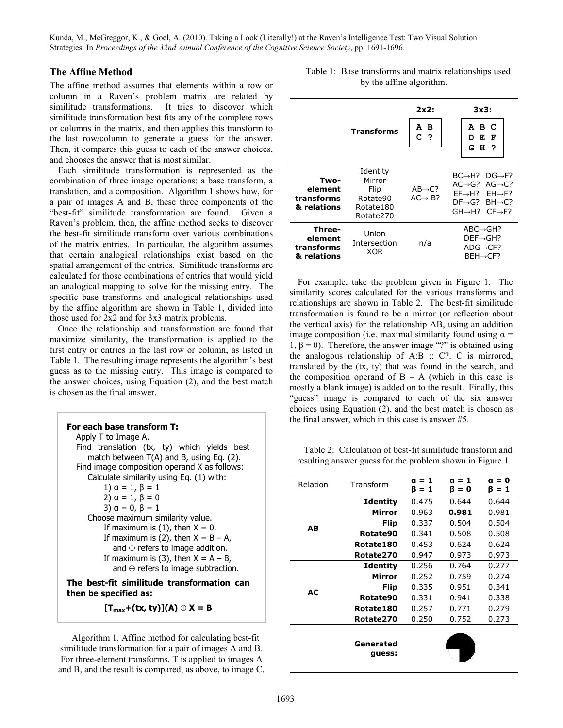### The Affine Method

The affine method assumes that elements within a row or column in a Raven's problem matrix are related by similitude transformations. It tries to discover which similitude transformation best fits any of the complete rows or columns in the matrix, and then applies this transform to the last row/column to generate a guess for the answer. Then, it compares this guess to each of the answer choices, and chooses the answer that is most similar.

Each similitude transformation is represented as the combination of three image operations: a base transform, a translation, and a composition. Algorithm 1 shows how, for a pair of images A and B, these three components of the "best-fit" similitude transformation are found. Given a Raven's problem, then, the affine method seeks to discover the best-fit similitude transform over various combinations of the matrix entries. In particular, the algorithm assumes that certain analogical relationships exist based on the spatial arrangement of the entries. Similitude transforms are calculated for those combinations of entries that would yield an analogical mapping to solve for the missing entry. The specific base transforms and analogical relationships used by the affine algorithm are shown in Table 1, divided into those used for 2x2 and for 3x3 matrix problems.

Once the relationship and transformation are found that maximize similarity, the transformation is applied to the first entry or entries in the last row or column, as listed in Table 1. The resulting image represents the algorithm's best guess as to the missing entry. This image is compared to the answer choices, using Equation (2), and the best match is chosen as the final answer.

| For each base transform T:<br>Apply T to Image A. |
|---------------------------------------------------|
| Find translation (tx, ty) which yields best       |
| match between $T(A)$ and B, using Eq. (2).        |
| Find image composition operand X as follows:      |
| Calculate similarity using Eq. (1) with:          |
| 1) $a = 1, \beta = 1$                             |
| 2) $a = 1, \beta = 0$                             |
| 3) $a = 0, \beta = 1$                             |
| Choose maximum similarity value.                  |
| If maximum is $(1)$ , then $X = 0$ .              |
| If maximum is (2), then $X = B - A$ ,             |
| and $\oplus$ refers to image addition.            |
| If maximum is (3), then $X = A - B$ ,             |
| and $\oplus$ refers to image subtraction.         |

The best-fit similitude transformation can then be specified as:

 $[T_{\text{max}}+(tx, ty)](A) \oplus X = B$ 

Algorithm 1. Affine method for calculating best-fit similitude transformation for a pair of images A and B. For three-element transforms, T is applied to images A and B, and the result is compared, as above, to image C.

| Table 1: Base transforms and matrix relationships used |
|--------------------------------------------------------|
| by the affine algorithm.                               |

|                                                | <b>Transforms</b>                                                | 2x2:<br>А В<br>c<br>$\cdot$                  | 3x3:<br>авс<br>Е<br>F<br>D<br>GH ?                                                                                                                                                                                            |  |
|------------------------------------------------|------------------------------------------------------------------|----------------------------------------------|-------------------------------------------------------------------------------------------------------------------------------------------------------------------------------------------------------------------------------|--|
| Two-<br>element<br>transforms<br>& relations   | Identity<br>Mirror<br>Flip<br>Rotate90<br>Rotate180<br>Rotate270 | $AB \rightarrow C$ ?<br>$AC \rightarrow B$ ? | $BC \rightarrow H$ ? $DG \rightarrow F$ ?<br>$AC \rightarrow G$ ? $AG \rightarrow C$ ?<br>$FF \rightarrow H$ ? $FH \rightarrow F$ ?<br>$DF \rightarrow G$ ? BH $\rightarrow C$ ?<br>$GH \rightarrow H$ ? $CF \rightarrow F$ ? |  |
| Three-<br>element<br>transforms<br>& relations | Union<br>Intersection<br>XOR                                     | n/a                                          | $ABC \rightarrow GH$ ?<br>$DEF \rightarrow GH$ ?<br>$ADG \rightarrow CF?$<br>$BEH \rightarrow CF?$                                                                                                                            |  |

For example, take the problem given in Figure 1. The similarity scores calculated for the various transforms and relationships are shown in Table 2. The best-fit similitude transformation is found to be a mirror (or reflection about the vertical axis) for the relationship AB, using an addition image composition (i.e. maximal similarity found using  $\alpha$  = 1,  $β = 0$ ). Therefore, the answer image "?" is obtained using the analogous relationship of A:B :: C?. C is mirrored, translated by the (tx, ty) that was found in the search, and the composition operand of  $B - A$  (which in this case is mostly a blank image) is added on to the result. Finally, this "guess" image is compared to each of the six answer choices using Equation (2), and the best match is chosen as the final answer, which in this case is answer #5.

Table 2: Calculation of best-fit similitude transform and resulting answer guess for the problem shown in Figure 1.

| Relation  | Transform           | $a = 1$<br>$B = 1$ | a = 1<br>β = 0 | a = 0<br>ß = 1 |
|-----------|---------------------|--------------------|----------------|----------------|
|           | <b>Identity</b>     | 0.475              | 0.644          | 0.644          |
|           | Mirror              | 0.963              | 0.981          | 0.981          |
|           | Flip                | 0.337              | 0.504          | 0.504          |
| AВ        | Rotate90            | 0.341              | 0.508          | 0.508          |
|           | Rotate180           | 0.453              | 0.624          | 0.624          |
|           | Rotate270           | 0.947              | 0.973          | 0.973          |
|           | <b>Identity</b>     | 0.256              | 0.764          | 0.277          |
|           | Mirror              | 0.252              | 0.759          | 0.274          |
| <b>AC</b> | Flip                | 0.335              | 0.951          | 0.341          |
|           | Rotate90            | 0.331              | 0.941          | 0.338          |
|           | Rotate180           | 0.257              | 0.771          | 0.279          |
|           | Rotate270           | 0.250              | 0.752          | 0.273          |
|           |                     |                    |                |                |
|           | Generated<br>quess: |                    |                |                |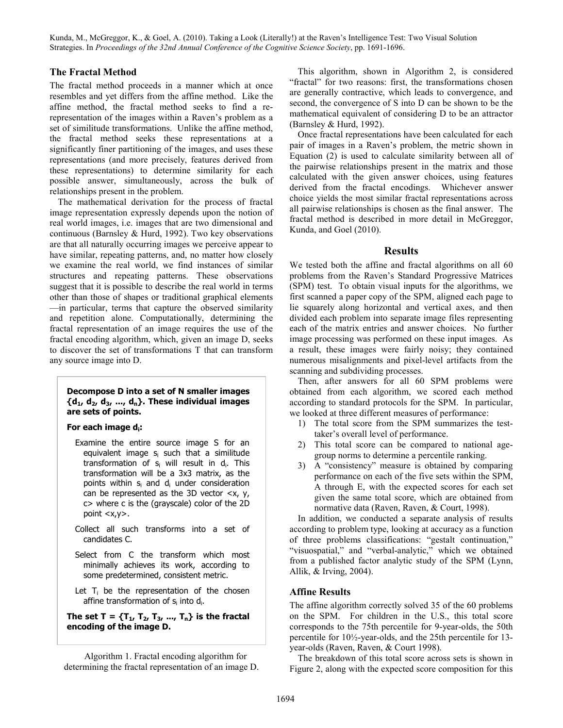### The Fractal Method

The fractal method proceeds in a manner which at once resembles and yet differs from the affine method. Like the affine method, the fractal method seeks to find a rerepresentation of the images within a Raven's problem as a set of similitude transformations. Unlike the affine method, the fractal method seeks these representations at a significantly finer partitioning of the images, and uses these representations (and more precisely, features derived from these representations) to determine similarity for each possible answer, simultaneously, across the bulk of relationships present in the problem.

The mathematical derivation for the process of fractal image representation expressly depends upon the notion of real world images, i.e. images that are two dimensional and continuous (Barnsley & Hurd, 1992). Two key observations are that all naturally occurring images we perceive appear to have similar, repeating patterns, and, no matter how closely we examine the real world, we find instances of similar structures and repeating patterns. These observations suggest that it is possible to describe the real world in terms other than those of shapes or traditional graphical elements —in particular, terms that capture the observed similarity and repetition alone. Computationally, determining the fractal representation of an image requires the use of the fractal encoding algorithm, which, given an image D, seeks to discover the set of transformations T that can transform any source image into D.

#### Decompose D into a set of N smaller images  ${d_1, d_2, d_3, ..., d_n}$ . These individual images are sets of points.

#### For each image di:

- Examine the entire source image S for an equivalent image s<sub>i</sub> such that a similitude transformation of s<sub>i</sub> will result in d<sub>i</sub>. This transformation will be a 3x3 matrix, as the points within s<sub>i</sub> and d<sub>i</sub> under consideration can be represented as the 3D vector  $\langle x, y \rangle$ c> where c is the (grayscale) color of the 2D point <x,y>.
- Collect all such transforms into a set of candidates C.
- Select from C the transform which most minimally achieves its work, according to some predetermined, consistent metric.
- Let  $T_i$  be the representation of the chosen affine transformation of s<sub>i</sub> into d<sub>i</sub>.

The set  $T = {T_1, T_2, T_3, ..., T_n}$  is the fractal encoding of the image D.

Algorithm 1. Fractal encoding algorithm for determining the fractal representation of an image D.

This algorithm, shown in Algorithm 2, is considered "fractal" for two reasons: first, the transformations chosen are generally contractive, which leads to convergence, and second, the convergence of S into D can be shown to be the mathematical equivalent of considering D to be an attractor (Barnsley & Hurd, 1992).

Once fractal representations have been calculated for each pair of images in a Raven's problem, the metric shown in Equation (2) is used to calculate similarity between all of the pairwise relationships present in the matrix and those calculated with the given answer choices, using features derived from the fractal encodings. Whichever answer choice yields the most similar fractal representations across all pairwise relationships is chosen as the final answer. The fractal method is described in more detail in McGreggor, Kunda, and Goel (2010).

#### **Results**

We tested both the affine and fractal algorithms on all 60 problems from the Raven's Standard Progressive Matrices (SPM) test. To obtain visual inputs for the algorithms, we first scanned a paper copy of the SPM, aligned each page to lie squarely along horizontal and vertical axes, and then divided each problem into separate image files representing each of the matrix entries and answer choices. No further image processing was performed on these input images. As a result, these images were fairly noisy; they contained numerous misalignments and pixel-level artifacts from the scanning and subdividing processes.

Then, after answers for all 60 SPM problems were obtained from each algorithm, we scored each method according to standard protocols for the SPM. In particular, we looked at three different measures of performance:

- 1) The total score from the SPM summarizes the testtaker's overall level of performance.
- 2) This total score can be compared to national agegroup norms to determine a percentile ranking.
- 3) A "consistency" measure is obtained by comparing performance on each of the five sets within the SPM, A through E, with the expected scores for each set given the same total score, which are obtained from normative data (Raven, Raven, & Court, 1998).

In addition, we conducted a separate analysis of results according to problem type, looking at accuracy as a function of three problems classifications: "gestalt continuation," "visuospatial," and "verbal-analytic," which we obtained from a published factor analytic study of the SPM (Lynn, Allik, & Irving, 2004).

# Affine Results

The affine algorithm correctly solved 35 of the 60 problems on the SPM. For children in the U.S., this total score corresponds to the 75th percentile for 9-year-olds, the 50th percentile for 10½-year-olds, and the 25th percentile for 13 year-olds (Raven, Raven, & Court 1998).

The breakdown of this total score across sets is shown in Figure 2, along with the expected score composition for this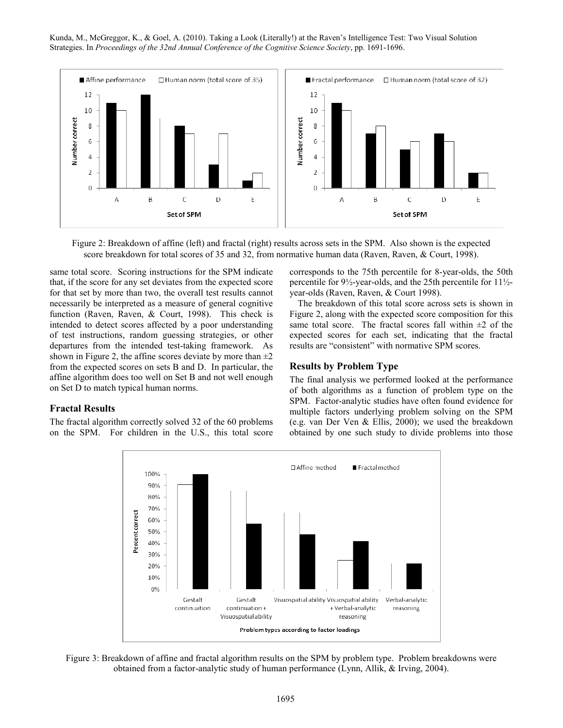

Figure 2: Breakdown of affine (left) and fractal (right) results across sets in the SPM. Also shown is the expected score breakdown for total scores of 35 and 32, from normative human data (Raven, Raven, & Court, 1998).

same total score. Scoring instructions for the SPM indicate that, if the score for any set deviates from the expected score for that set by more than two, the overall test results cannot necessarily be interpreted as a measure of general cognitive function (Raven, Raven, & Court, 1998). This check is intended to detect scores affected by a poor understanding of test instructions, random guessing strategies, or other departures from the intended test-taking framework. As shown in Figure 2, the affine scores deviate by more than  $\pm 2$ from the expected scores on sets B and D. In particular, the affine algorithm does too well on Set B and not well enough on Set D to match typical human norms.

### Fractal Results

The fractal algorithm correctly solved 32 of the 60 problems on the SPM. For children in the U.S., this total score corresponds to the 75th percentile for 8-year-olds, the 50th percentile for 9½-year-olds, and the 25th percentile for 11½ year-olds (Raven, Raven, & Court 1998).

The breakdown of this total score across sets is shown in Figure 2, along with the expected score composition for this same total score. The fractal scores fall within  $\pm 2$  of the expected scores for each set, indicating that the fractal results are "consistent" with normative SPM scores.

#### Results by Problem Type

The final analysis we performed looked at the performance of both algorithms as a function of problem type on the SPM. Factor-analytic studies have often found evidence for multiple factors underlying problem solving on the SPM (e.g. van Der Ven & Ellis, 2000); we used the breakdown obtained by one such study to divide problems into those



Figure 3: Breakdown of affine and fractal algorithm results on the SPM by problem type. Problem breakdowns were obtained from a factor-analytic study of human performance (Lynn, Allik, & Irving, 2004).